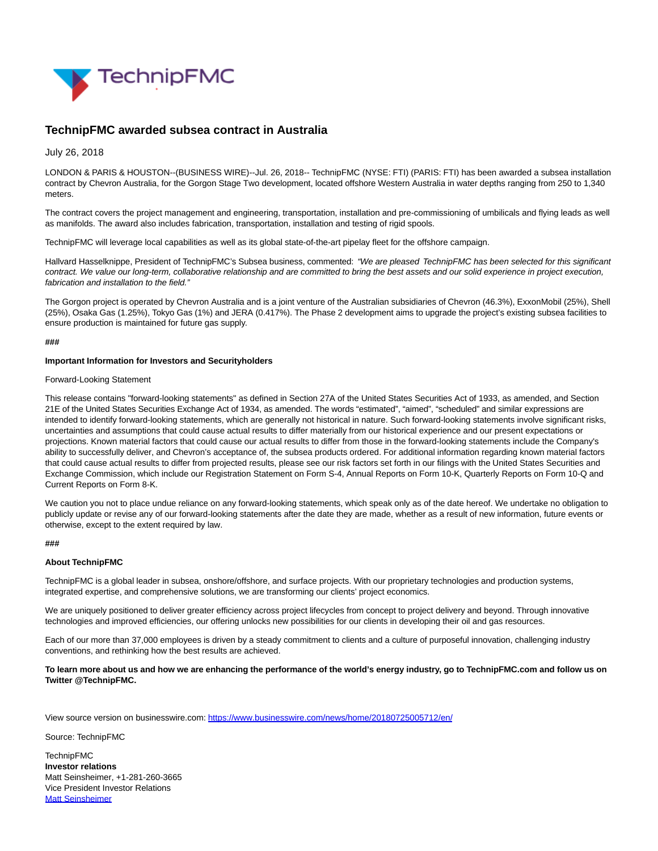

# **TechnipFMC awarded subsea contract in Australia**

July 26, 2018

LONDON & PARIS & HOUSTON--(BUSINESS WIRE)--Jul. 26, 2018-- TechnipFMC (NYSE: FTI) (PARIS: FTI) has been awarded a subsea installation contract by Chevron Australia, for the Gorgon Stage Two development, located offshore Western Australia in water depths ranging from 250 to 1,340 meters.

The contract covers the project management and engineering, transportation, installation and pre-commissioning of umbilicals and flying leads as well as manifolds. The award also includes fabrication, transportation, installation and testing of rigid spools.

TechnipFMC will leverage local capabilities as well as its global state-of-the-art pipelay fleet for the offshore campaign.

Hallvard Hasselknippe, President of TechnipFMC's Subsea business, commented: "We are pleased TechnipFMC has been selected for this significant contract. We value our long-term, collaborative relationship and are committed to bring the best assets and our solid experience in project execution, fabrication and installation to the field."

The Gorgon project is operated by Chevron Australia and is a joint venture of the Australian subsidiaries of Chevron (46.3%), ExxonMobil (25%), Shell (25%), Osaka Gas (1.25%), Tokyo Gas (1%) and JERA (0.417%). The Phase 2 development aims to upgrade the project's existing subsea facilities to ensure production is maintained for future gas supply.

#### **###**

### **Important Information for Investors and Securityholders**

### Forward-Looking Statement

This release contains "forward-looking statements" as defined in Section 27A of the United States Securities Act of 1933, as amended, and Section 21E of the United States Securities Exchange Act of 1934, as amended. The words "estimated", "aimed", "scheduled" and similar expressions are intended to identify forward-looking statements, which are generally not historical in nature. Such forward-looking statements involve significant risks, uncertainties and assumptions that could cause actual results to differ materially from our historical experience and our present expectations or projections. Known material factors that could cause our actual results to differ from those in the forward-looking statements include the Company's ability to successfully deliver, and Chevron's acceptance of, the subsea products ordered. For additional information regarding known material factors that could cause actual results to differ from projected results, please see our risk factors set forth in our filings with the United States Securities and Exchange Commission, which include our Registration Statement on Form S-4, Annual Reports on Form 10-K, Quarterly Reports on Form 10-Q and Current Reports on Form 8-K.

We caution you not to place undue reliance on any forward-looking statements, which speak only as of the date hereof. We undertake no obligation to publicly update or revise any of our forward-looking statements after the date they are made, whether as a result of new information, future events or otherwise, except to the extent required by law.

#### **###**

### **About TechnipFMC**

TechnipFMC is a global leader in subsea, onshore/offshore, and surface projects. With our proprietary technologies and production systems, integrated expertise, and comprehensive solutions, we are transforming our clients' project economics.

We are uniquely positioned to deliver greater efficiency across project lifecycles from concept to project delivery and beyond. Through innovative technologies and improved efficiencies, our offering unlocks new possibilities for our clients in developing their oil and gas resources.

Each of our more than 37,000 employees is driven by a steady commitment to clients and a culture of purposeful innovation, challenging industry conventions, and rethinking how the best results are achieved.

## **To learn more about us and how we are enhancing the performance of the world's energy industry, go to TechnipFMC.com and follow us on Twitter @TechnipFMC.**

View source version on businesswire.com:<https://www.businesswire.com/news/home/20180725005712/en/>

Source: TechnipFMC

TechnipFMC **Investor relations** Matt Seinsheimer, +1-281-260-3665 Vice President Investor Relations [Matt Seinsheimer](mailto:InvestorRelations@TechnipFMC.com)